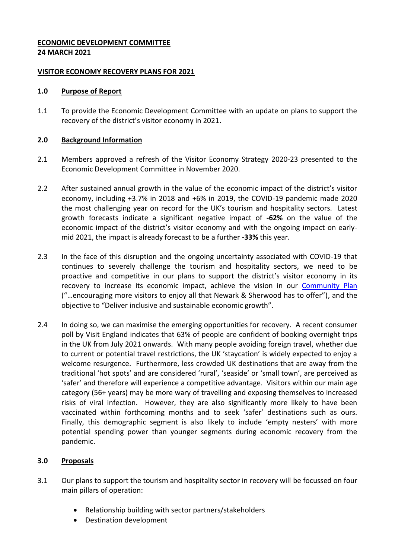## **ECONOMIC DEVELOPMENT COMMITTEE 24 MARCH 2021**

### **VISITOR ECONOMY RECOVERY PLANS FOR 2021**

### **1.0 Purpose of Report**

1.1 To provide the Economic Development Committee with an update on plans to support the recovery of the district's visitor economy in 2021.

## **2.0 Background Information**

- 2.1 Members approved a refresh of the Visitor Economy Strategy 2020-23 presented to the Economic Development Committee in November 2020.
- 2.2 After sustained annual growth in the value of the economic impact of the district's visitor economy, including +3.7% in 2018 and +6% in 2019, the COVID-19 pandemic made 2020 the most challenging year on record for the UK's tourism and hospitality sectors. Latest growth forecasts indicate a significant negative impact of **-62%** on the value of the economic impact of the district's visitor economy and with the ongoing impact on earlymid 2021, the impact is already forecast to be a further **-33%** this year.
- 2.3 In the face of this disruption and the ongoing uncertainty associated with COVID-19 that continues to severely challenge the tourism and hospitality sectors, we need to be proactive and competitive in our plans to support the district's visitor economy in its recovery to increase its economic impact, achieve the vision in our [Community Plan](https://www.newark-sherwooddc.gov.uk/media/newarkandsherwood/imagesandfiles/strategiesandpolicies/pdfs/13.10.20%20-%20Community%20Plan%20Appendix%20-%20Final.pdf) ("…encouraging more visitors to enjoy all that Newark & Sherwood has to offer"), and the objective to "Deliver inclusive and sustainable economic growth".
- 2.4 In doing so, we can maximise the emerging opportunities for recovery. A recent consumer poll by Visit England indicates that 63% of people are confident of booking overnight trips in the UK from July 2021 onwards. With many people avoiding foreign travel, whether due to current or potential travel restrictions, the UK 'staycation' is widely expected to enjoy a welcome resurgence. Furthermore, less crowded UK destinations that are away from the traditional 'hot spots' and are considered 'rural', 'seaside' or 'small town', are perceived as 'safer' and therefore will experience a competitive advantage. Visitors within our main age category (56+ years) may be more wary of travelling and exposing themselves to increased risks of viral infection. However, they are also significantly more likely to have been vaccinated within forthcoming months and to seek 'safer' destinations such as ours. Finally, this demographic segment is also likely to include 'empty nesters' with more potential spending power than younger segments during economic recovery from the pandemic.

# **3.0 Proposals**

- 3.1 Our plans to support the tourism and hospitality sector in recovery will be focussed on four main pillars of operation:
	- Relationship building with sector partners/stakeholders
	- Destination development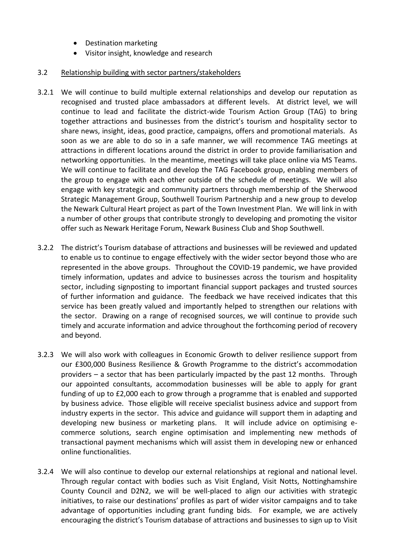- Destination marketing
- Visitor insight, knowledge and research

## 3.2 Relationship building with sector partners/stakeholders

- 3.2.1 We will continue to build multiple external relationships and develop our reputation as recognised and trusted place ambassadors at different levels. At district level, we will continue to lead and facilitate the district-wide Tourism Action Group (TAG) to bring together attractions and businesses from the district's tourism and hospitality sector to share news, insight, ideas, good practice, campaigns, offers and promotional materials. As soon as we are able to do so in a safe manner, we will recommence TAG meetings at attractions in different locations around the district in order to provide familiarisation and networking opportunities. In the meantime, meetings will take place online via MS Teams. We will continue to facilitate and develop the TAG Facebook group, enabling members of the group to engage with each other outside of the schedule of meetings. We will also engage with key strategic and community partners through membership of the Sherwood Strategic Management Group, Southwell Tourism Partnership and a new group to develop the Newark Cultural Heart project as part of the Town Investment Plan. We will link in with a number of other groups that contribute strongly to developing and promoting the visitor offer such as Newark Heritage Forum, Newark Business Club and Shop Southwell.
- 3.2.2 The district's Tourism database of attractions and businesses will be reviewed and updated to enable us to continue to engage effectively with the wider sector beyond those who are represented in the above groups. Throughout the COVID-19 pandemic, we have provided timely information, updates and advice to businesses across the tourism and hospitality sector, including signposting to important financial support packages and trusted sources of further information and guidance. The feedback we have received indicates that this service has been greatly valued and importantly helped to strengthen our relations with the sector. Drawing on a range of recognised sources, we will continue to provide such timely and accurate information and advice throughout the forthcoming period of recovery and beyond.
- 3.2.3 We will also work with colleagues in Economic Growth to deliver resilience support from our £300,000 Business Resilience & Growth Programme to the district's accommodation providers – a sector that has been particularly impacted by the past 12 months. Through our appointed consultants, accommodation businesses will be able to apply for grant funding of up to £2,000 each to grow through a programme that is enabled and supported by business advice. Those eligible will receive specialist business advice and support from industry experts in the sector. This advice and guidance will support them in adapting and developing new business or marketing plans. It will include advice on optimising ecommerce solutions, search engine optimisation and implementing new methods of transactional payment mechanisms which will assist them in developing new or enhanced online functionalities.
- 3.2.4 We will also continue to develop our external relationships at regional and national level. Through regular contact with bodies such as Visit England, Visit Notts, Nottinghamshire County Council and D2N2, we will be well-placed to align our activities with strategic initiatives, to raise our destinations' profiles as part of wider visitor campaigns and to take advantage of opportunities including grant funding bids. For example, we are actively encouraging the district's Tourism database of attractions and businesses to sign up to Visit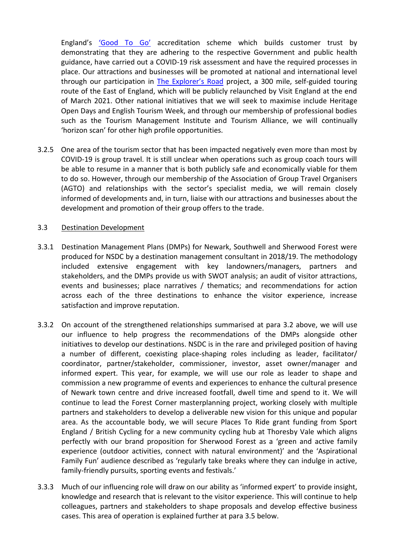England's ['Good To Go'](https://www.visitbritain.org/business-advice/were-good-go-industry-standard?utm_source=vbve_enews_03_02_2021&utm_medium=email&utm_campaign=vbve_03_02_2021) accreditation scheme which builds customer trust by demonstrating that they are adhering to the respective Government and public health guidance, have carried out a COVID-19 risk assessment and have the required processes in place. Our attractions and businesses will be promoted at national and international level through our participation in **[The Explorer's Road](https://www.explorersroad.com/) project**, a 300 mile, self-guided touring route of the East of England, which will be publicly relaunched by Visit England at the end of March 2021. Other national initiatives that we will seek to maximise include Heritage Open Days and English Tourism Week, and through our membership of professional bodies such as the Tourism Management Institute and Tourism Alliance, we will continually 'horizon scan' for other high profile opportunities.

3.2.5 One area of the tourism sector that has been impacted negatively even more than most by COVID-19 is group travel. It is still unclear when operations such as group coach tours will be able to resume in a manner that is both publicly safe and economically viable for them to do so. However, through our membership of the Association of Group Travel Organisers (AGTO) and relationships with the sector's specialist media, we will remain closely informed of developments and, in turn, liaise with our attractions and businesses about the development and promotion of their group offers to the trade.

#### 3.3 Destination Development

- 3.3.1 Destination Management Plans (DMPs) for Newark, Southwell and Sherwood Forest were produced for NSDC by a destination management consultant in 2018/19. The methodology included extensive engagement with key landowners/managers, partners and stakeholders, and the DMPs provide us with SWOT analysis; an audit of visitor attractions, events and businesses; place narratives / thematics; and recommendations for action across each of the three destinations to enhance the visitor experience, increase satisfaction and improve reputation.
- 3.3.2 On account of the strengthened relationships summarised at para 3.2 above, we will use our influence to help progress the recommendations of the DMPs alongside other initiatives to develop our destinations. NSDC is in the rare and privileged position of having a number of different, coexisting place-shaping roles including as leader, facilitator/ coordinator, partner/stakeholder, commissioner, investor, asset owner/manager and informed expert. This year, for example, we will use our role as leader to shape and commission a new programme of events and experiences to enhance the cultural presence of Newark town centre and drive increased footfall, dwell time and spend to it. We will continue to lead the Forest Corner masterplanning project, working closely with multiple partners and stakeholders to develop a deliverable new vision for this unique and popular area. As the accountable body, we will secure Places To Ride grant funding from Sport England / British Cycling for a new community cycling hub at Thoresby Vale which aligns perfectly with our brand proposition for Sherwood Forest as a 'green and active family experience (outdoor activities, connect with natural environment)' and the 'Aspirational Family Fun' audience described as 'regularly take breaks where they can indulge in active, family-friendly pursuits, sporting events and festivals.'
- 3.3.3 Much of our influencing role will draw on our ability as 'informed expert' to provide insight, knowledge and research that is relevant to the visitor experience. This will continue to help colleagues, partners and stakeholders to shape proposals and develop effective business cases. This area of operation is explained further at para 3.5 below.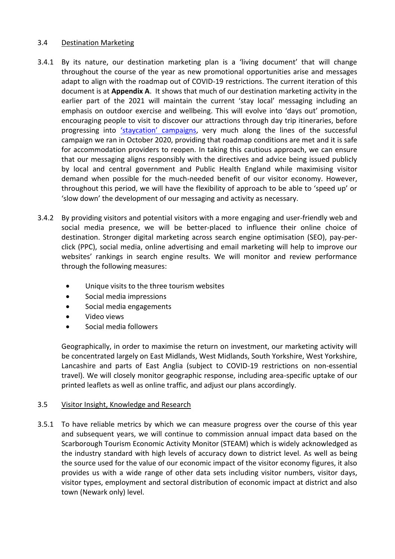#### 3.4 Destination Marketing

- 3.4.1 By its nature, our destination marketing plan is a 'living document' that will change throughout the course of the year as new promotional opportunities arise and messages adapt to align with the roadmap out of COVID-19 restrictions. The current iteration of this document is at **Appendix A**. It shows that much of our destination marketing activity in the earlier part of the 2021 will maintain the current 'stay local' messaging including an emphasis on outdoor exercise and wellbeing. This will evolve into 'days out' promotion, encouraging people to visit to discover our attractions through day trip itineraries, before progressing into ['staycation' campaigns](https://visitnewark.co.uk/whoknew/), very much along the lines of the successful campaign we ran in October 2020, providing that roadmap conditions are met and it is safe for accommodation providers to reopen. In taking this cautious approach, we can ensure that our messaging aligns responsibly with the directives and advice being issued publicly by local and central government and Public Health England while maximising visitor demand when possible for the much-needed benefit of our visitor economy. However, throughout this period, we will have the flexibility of approach to be able to 'speed up' or 'slow down' the development of our messaging and activity as necessary.
- 3.4.2 By providing visitors and potential visitors with a more engaging and user-friendly web and social media presence, we will be better-placed to influence their online choice of destination. Stronger digital marketing across search engine optimisation (SEO), pay-perclick (PPC), social media, online advertising and email marketing will help to improve our websites' rankings in search engine results. We will monitor and review performance through the following measures:
	- Unique visits to the three tourism websites
	- Social media impressions
	- Social media engagements
	- Video views
	- Social media followers

Geographically, in order to maximise the return on investment, our marketing activity will be concentrated largely on East Midlands, West Midlands, South Yorkshire, West Yorkshire, Lancashire and parts of East Anglia (subject to COVID-19 restrictions on non-essential travel). We will closely monitor geographic response, including area-specific uptake of our printed leaflets as well as online traffic, and adjust our plans accordingly.

#### 3.5 Visitor Insight, Knowledge and Research

3.5.1 To have reliable metrics by which we can measure progress over the course of this year and subsequent years, we will continue to commission annual impact data based on the Scarborough Tourism Economic Activity Monitor (STEAM) which is widely acknowledged as the industry standard with high levels of accuracy down to district level. As well as being the source used for the value of our economic impact of the visitor economy figures, it also provides us with a wide range of other data sets including visitor numbers, visitor days, visitor types, employment and sectoral distribution of economic impact at district and also town (Newark only) level.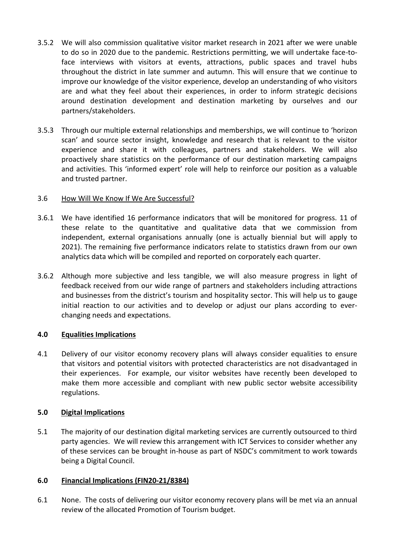- 3.5.2 We will also commission qualitative visitor market research in 2021 after we were unable to do so in 2020 due to the pandemic. Restrictions permitting, we will undertake face-toface interviews with visitors at events, attractions, public spaces and travel hubs throughout the district in late summer and autumn. This will ensure that we continue to improve our knowledge of the visitor experience, develop an understanding of who visitors are and what they feel about their experiences, in order to inform strategic decisions around destination development and destination marketing by ourselves and our partners/stakeholders.
- 3.5.3 Through our multiple external relationships and memberships, we will continue to 'horizon scan' and source sector insight, knowledge and research that is relevant to the visitor experience and share it with colleagues, partners and stakeholders. We will also proactively share statistics on the performance of our destination marketing campaigns and activities. This 'informed expert' role will help to reinforce our position as a valuable and trusted partner.

# 3.6 How Will We Know If We Are Successful?

- 3.6.1 We have identified 16 performance indicators that will be monitored for progress. 11 of these relate to the quantitative and qualitative data that we commission from independent, external organisations annually (one is actually biennial but will apply to 2021). The remaining five performance indicators relate to statistics drawn from our own analytics data which will be compiled and reported on corporately each quarter.
- 3.6.2 Although more subjective and less tangible, we will also measure progress in light of feedback received from our wide range of partners and stakeholders including attractions and businesses from the district's tourism and hospitality sector. This will help us to gauge initial reaction to our activities and to develop or adjust our plans according to everchanging needs and expectations.

# **4.0 Equalities Implications**

4.1 Delivery of our visitor economy recovery plans will always consider equalities to ensure that visitors and potential visitors with protected characteristics are not disadvantaged in their experiences. For example, our visitor websites have recently been developed to make them more accessible and compliant with new public sector website accessibility regulations.

# **5.0 Digital Implications**

5.1 The majority of our destination digital marketing services are currently outsourced to third party agencies. We will review this arrangement with ICT Services to consider whether any of these services can be brought in-house as part of NSDC's commitment to work towards being a Digital Council.

#### **6.0 Financial Implications (FIN20-21/8384)**

6.1 None. The costs of delivering our visitor economy recovery plans will be met via an annual review of the allocated Promotion of Tourism budget.